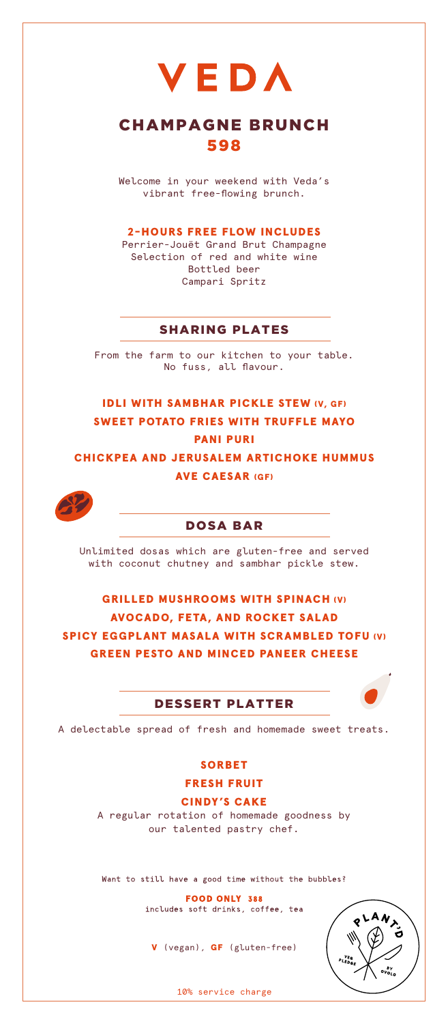VEDA

# CHAMPAGNE BRUNCH 598

Welcome in your weekend with Veda's vibrant free-flowing brunch.

#### 2-HOURS FREE FLOW INCLUDES

Perrier-Jouët Grand Brut Champagne Selection of red and white wine Bottled beer Campari Spritz

# SHARING PLATES

From the farm to our kitchen to your table. No fuss, all flavour.

IDLI WITH SAMBHAR PICKLE STEW (V, GF) SWEET POTATO FRIES WITH TRUFFLE MAYO PANI PURI

CHICKPEA AND JERUSALEM ARTICHOKE HUMMUS AVE CAESAR (GF)



# DOSA BAR

Unlimited dosas which are gluten-free and served with coconut chutney and sambhar pickle stew.

GRILLED MUSHROOMS WITH SPINACH (V) AVOCADO, FETA, AND ROCKET SALAD SPICY EGGPLANT MASALA WITH SCRAMBLED TOFU (V) GREEN PESTO AND MINCED PANEER CHEESE

### DESSERT PLATTER



A delectable spread of fresh and homemade sweet treats.

### SORBET

FRESH FRUIT

#### CINDY'S CAKE

A regular rotation of homemade goodness by our talented pastry chef.

Want to still have a good time without the bubbles?

FOOD ONLY 388<br>includes soft drinks, coffee, tea

V (vegan), GF (gluten-free)



10% service charge